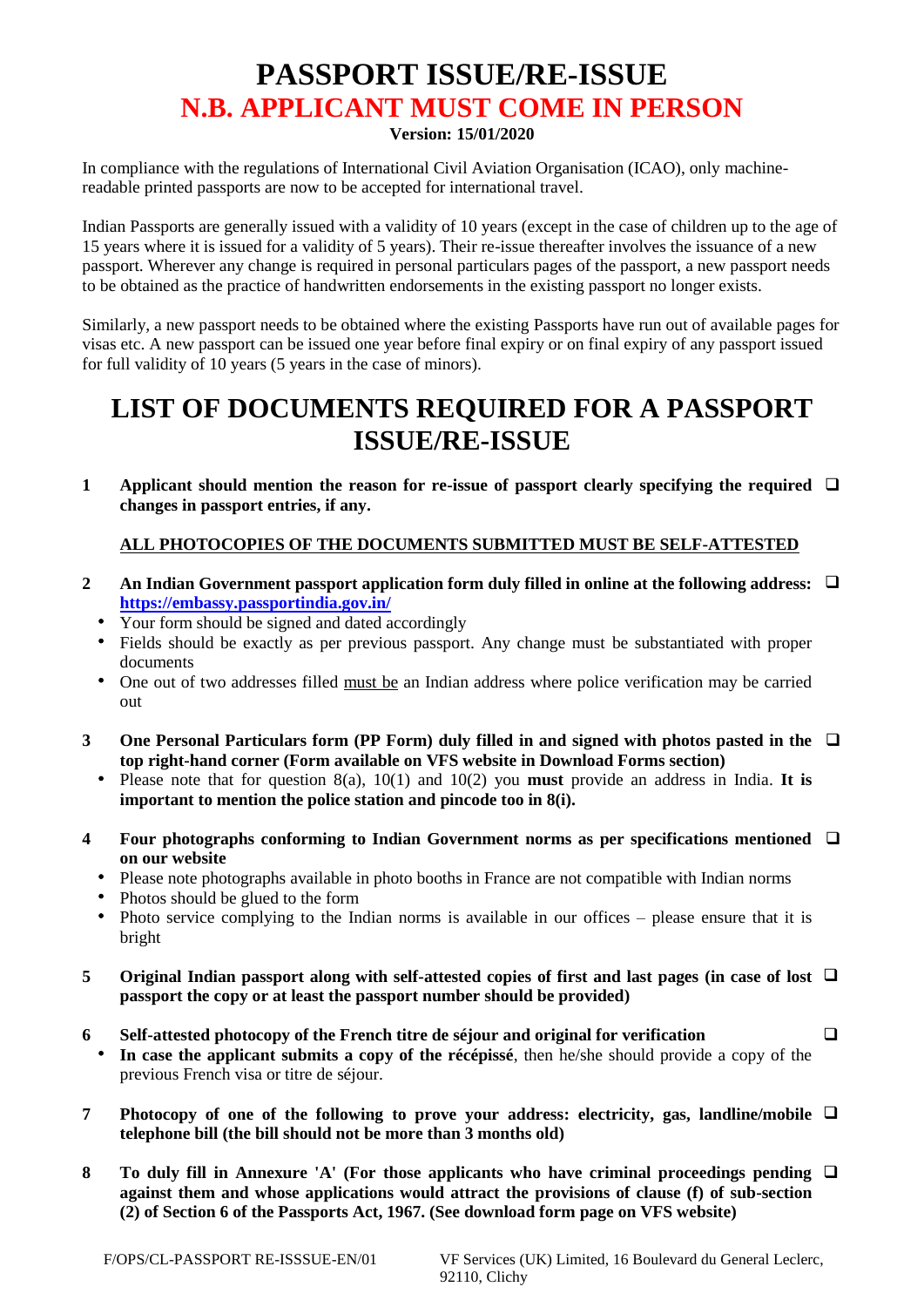# **PASSPORT ISSUE/RE-ISSUE N.B. APPLICANT MUST COME IN PERSON**

### **Version: 15/01/2020**

In compliance with the regulations of International Civil Aviation Organisation (ICAO), only machinereadable printed passports are now to be accepted for international travel.

Indian Passports are generally issued with a validity of 10 years (except in the case of children up to the age of 15 years where it is issued for a validity of 5 years). Their re-issue thereafter involves the issuance of a new passport. Wherever any change is required in personal particulars pages of the passport, a new passport needs to be obtained as the practice of handwritten endorsements in the existing passport no longer exists.

Similarly, a new passport needs to be obtained where the existing Passports have run out of available pages for visas etc. A new passport can be issued one year before final expiry or on final expiry of any passport issued for full validity of 10 years (5 years in the case of minors).

# **LIST OF DOCUMENTS REQUIRED FOR A PASSPORT ISSUE/RE-ISSUE**

**1** Applicant should mention the reason for re-issue of passport clearly specifying the required □ **changes in passport entries, if any.**

## **ALL PHOTOCOPIES OF THE DOCUMENTS SUBMITTED MUST BE SELF-ATTESTED**

- **2 An Indian Government passport application form duly filled in online at the following address:**  ❑ **<https://embassy.passportindia.gov.in/>**
	- Your form should be signed and dated accordingly
	- Fields should be exactly as per previous passport. Any change must be substantiated with proper documents
	- One out of two addresses filled must be an Indian address where police verification may be carried out
- **3 One Personal Particulars form (PP Form) duly filled in and signed with photos pasted in the**  ❑ **top right-hand corner (Form available on VFS website in Download Forms section)**
	- Please note that for question 8(a), 10(1) and 10(2) you **must** provide an address in India. **It is important to mention the police station and pincode too in 8(i).**
- **4 Four photographs conforming to Indian Government norms as per specifications mentioned**  ❑ **on our website**
	- Please note photographs available in photo booths in France are not compatible with Indian norms
	- Photos should be glued to the form
	- Photo service complying to the Indian norms is available in our offices please ensure that it is bright
- **5 Original Indian passport along with self-attested copies of first and last pages (in case of lost**  ❑ **passport the copy or at least the passport number should be provided)**
- **6 Self-attested photocopy of the French titre de séjour and original for verification** ❑ **In case the applicant submits a copy of the récépissé**, then he/she should provide a copy of the previous French visa or titre de séjour.
- **7 Photocopy of one of the following to prove your address: electricity, gas, landline/mobile**  ❑ **telephone bill (the bill should not be more than 3 months old)**
- **8 To duly fill in Annexure 'A' (For those applicants who have criminal proceedings pending**  ❑**against them and whose applications would attract the provisions of clause (f) of sub-section (2) of Section 6 of the Passports Act, 1967. (See download form page on VFS website)**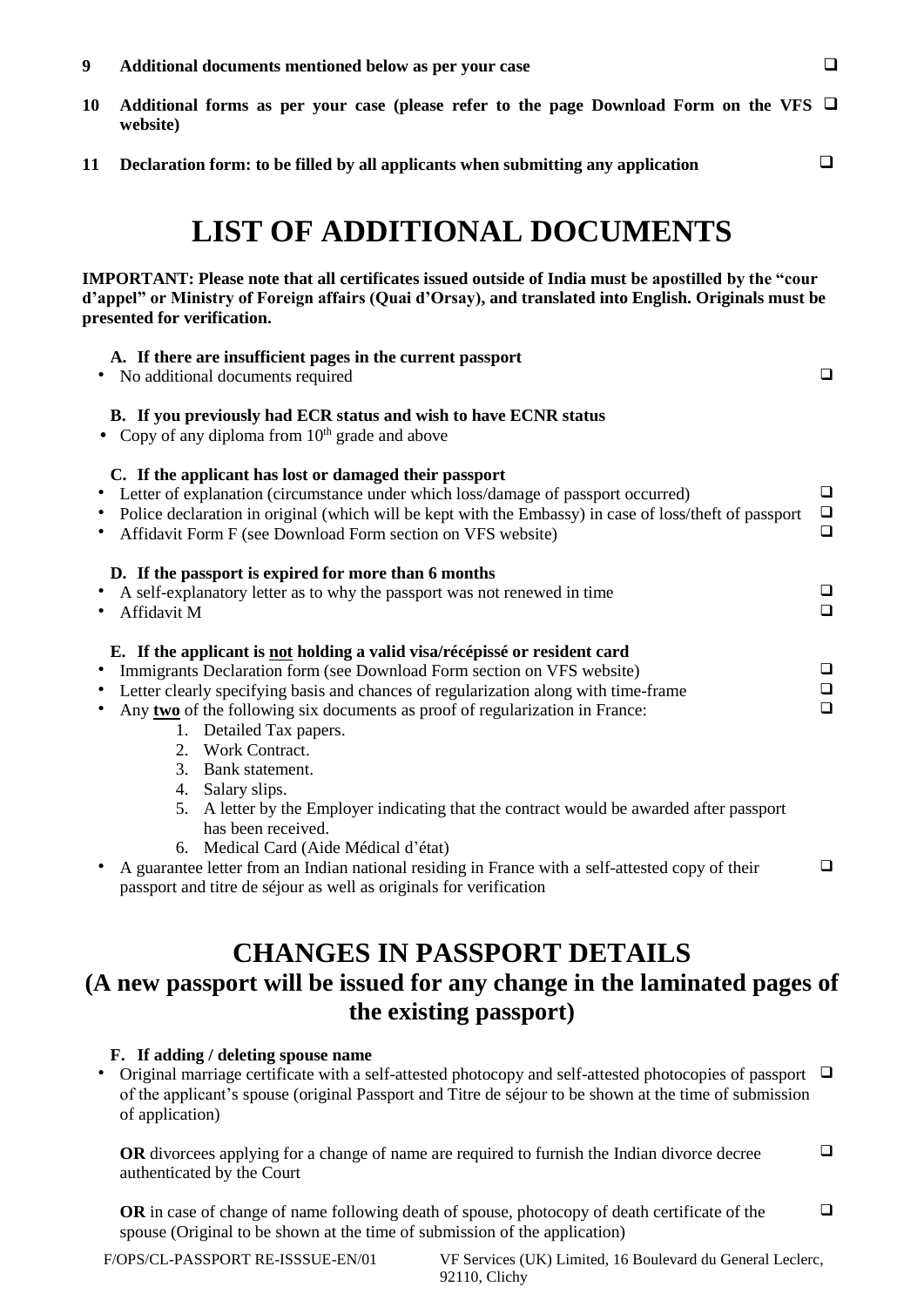- **10 Additional forms as per your case (please refer to the page Download Form on the VFS** ❑ **website)**
- **11 Declaration form: to be filled by all applicants when submitting any application**

❑

# **LIST OF ADDITIONAL DOCUMENTS**

#### **IMPORTANT: Please note that all certificates issued outside of India must be apostilled by the "cour d'appel" or Ministry of Foreign affairs (Quai d'Orsay), and translated into English. Originals must be presented for verification.**

| A. If there are insufficient pages in the current passport<br>No additional documents required                                                                                                                                                                                                                                                                                                                                       | $\Box$                     |
|--------------------------------------------------------------------------------------------------------------------------------------------------------------------------------------------------------------------------------------------------------------------------------------------------------------------------------------------------------------------------------------------------------------------------------------|----------------------------|
| B. If you previously had ECR status and wish to have ECNR status<br>Copy of any diploma from $10th$ grade and above                                                                                                                                                                                                                                                                                                                  |                            |
| C. If the applicant has lost or damaged their passport<br>Letter of explanation (circumstance under which loss/damage of passport occurred)<br>Police declaration in original (which will be kept with the Embassy) in case of loss/theft of passport<br>Affidavit Form F (see Download Form section on VFS website)                                                                                                                 | $\Box$<br>$\Box$<br>$\Box$ |
| D. If the passport is expired for more than 6 months<br>A self-explanatory letter as to why the passport was not renewed in time<br>Affidavit M                                                                                                                                                                                                                                                                                      | ❏<br>$\Box$                |
| E. If the applicant is not holding a valid visa/récépissé or resident card<br>Immigrants Declaration form (see Download Form section on VFS website)<br>Letter clearly specifying basis and chances of regularization along with time-frame<br>Any two of the following six documents as proof of regularization in France:<br>Detailed Tax papers.<br>$1_{\cdot}$<br>Work Contract.<br>$2^{2}$<br>3 <sub>1</sub><br>Bank statement. | $\Box$<br>$\Box$<br>$\Box$ |
| 4. Salary slips.<br>5. A letter by the Employer indicating that the contract would be awarded after passport<br>has been received.<br>6. Medical Card (Aide Médical d'état)<br>A guarantee letter from an Indian national residing in France with a self-attested copy of their<br>passport and titre de séjour as well as originals for verification                                                                                | $\Box$                     |

## **CHANGES IN PASSPORT DETAILS (A new passport will be issued for any change in the laminated pages of the existing passport)**

## **F. If adding / deleting spouse name**

 Original marriage certificate with a self-attested photocopy and self-attested photocopies of passport ❑ of the applicant's spouse (original Passport and Titre de séjour to be shown at the time of submission of application)

**OR** divorcees applying for a change of name are required to furnish the Indian divorce decree authenticated by the Court ❑

**OR** in case of change of name following death of spouse, photocopy of death certificate of the spouse (Original to be shown at the time of submission of the application) ❑

F/OPS/CL-PASSPORT RE-ISSSUE-EN/01 VF Services (UK) Limited, 16 Boulevard du General Leclerc, 92110, Clichy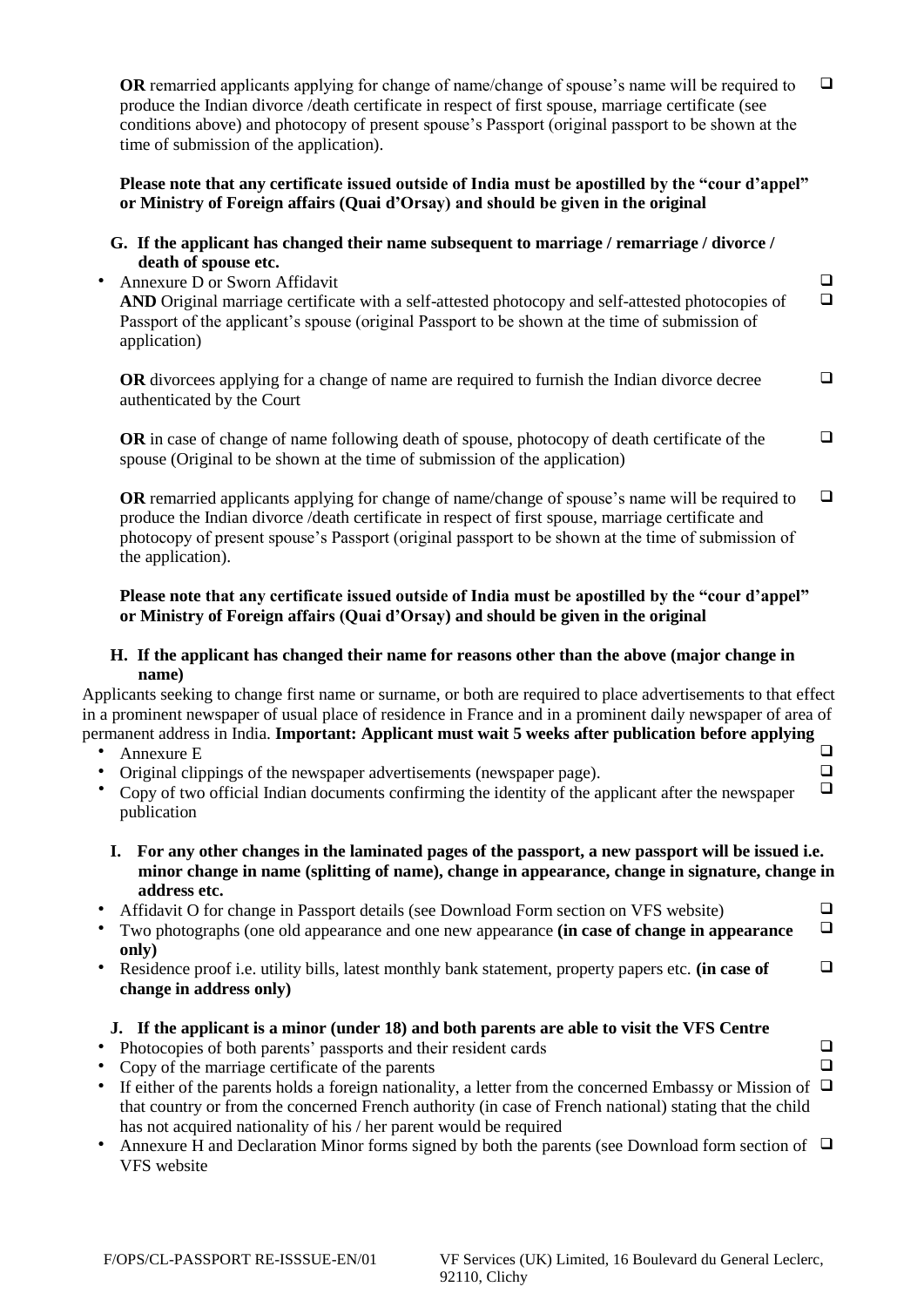|   | <b>OR</b> remarried applicants applying for change of name/change of spouse's name will be required to<br>produce the Indian divorce / death certificate in respect of first spouse, marriage certificate (see<br>conditions above) and photocopy of present spouse's Passport (original passport to be shown at the<br>time of submission of the application).                                                                                                                                                                                                                                                                               | $\Box$                     |
|---|-----------------------------------------------------------------------------------------------------------------------------------------------------------------------------------------------------------------------------------------------------------------------------------------------------------------------------------------------------------------------------------------------------------------------------------------------------------------------------------------------------------------------------------------------------------------------------------------------------------------------------------------------|----------------------------|
|   | Please note that any certificate issued outside of India must be apostilled by the "cour d'appel"<br>or Ministry of Foreign affairs (Quai d'Orsay) and should be given in the original                                                                                                                                                                                                                                                                                                                                                                                                                                                        |                            |
|   | G. If the applicant has changed their name subsequent to marriage / remarriage / divorce /<br>death of spouse etc.<br>Annexure D or Sworn Affidavit<br>AND Original marriage certificate with a self-attested photocopy and self-attested photocopies of<br>Passport of the applicant's spouse (original Passport to be shown at the time of submission of<br>application)                                                                                                                                                                                                                                                                    | $\Box$<br>$\Box$           |
|   | <b>OR</b> divorcees applying for a change of name are required to furnish the Indian divorce decree<br>authenticated by the Court                                                                                                                                                                                                                                                                                                                                                                                                                                                                                                             | $\Box$                     |
|   | OR in case of change of name following death of spouse, photocopy of death certificate of the<br>spouse (Original to be shown at the time of submission of the application)                                                                                                                                                                                                                                                                                                                                                                                                                                                                   | $\Box$                     |
|   | <b>OR</b> remarried applicants applying for change of name/change of spouse's name will be required to<br>produce the Indian divorce /death certificate in respect of first spouse, marriage certificate and<br>photocopy of present spouse's Passport (original passport to be shown at the time of submission of<br>the application).                                                                                                                                                                                                                                                                                                       | $\Box$                     |
|   | Please note that any certificate issued outside of India must be apostilled by the "cour d'appel"<br>or Ministry of Foreign affairs (Quai d'Orsay) and should be given in the original                                                                                                                                                                                                                                                                                                                                                                                                                                                        |                            |
|   | H. If the applicant has changed their name for reasons other than the above (major change in<br>name)                                                                                                                                                                                                                                                                                                                                                                                                                                                                                                                                         |                            |
|   | Applicants seeking to change first name or surname, or both are required to place advertisements to that effect<br>in a prominent newspaper of usual place of residence in France and in a prominent daily newspaper of area of<br>permanent address in India. Important: Applicant must wait 5 weeks after publication before applying<br>Annexure E<br>Original clippings of the newspaper advertisements (newspaper page).<br>Copy of two official Indian documents confirming the identity of the applicant after the newspaper                                                                                                           | $\Box$<br>$\Box$<br>$\Box$ |
|   | publication                                                                                                                                                                                                                                                                                                                                                                                                                                                                                                                                                                                                                                   |                            |
|   | I. For any other changes in the laminated pages of the passport, a new passport will be issued i.e.<br>minor change in name (splitting of name), change in appearance, change in signature, change in                                                                                                                                                                                                                                                                                                                                                                                                                                         |                            |
|   | address etc.<br>Affidavit O for change in Passport details (see Download Form section on VFS website)<br>Two photographs (one old appearance and one new appearance (in case of change in appearance<br>only)                                                                                                                                                                                                                                                                                                                                                                                                                                 | ❏<br>$\Box$                |
| ٠ | Residence proof i.e. utility bills, latest monthly bank statement, property papers etc. (in case of<br>change in address only)                                                                                                                                                                                                                                                                                                                                                                                                                                                                                                                | $\Box$                     |
| ٠ | J. If the applicant is a minor (under 18) and both parents are able to visit the VFS Centre<br>Photocopies of both parents' passports and their resident cards<br>Copy of the marriage certificate of the parents<br>If either of the parents holds a foreign nationality, a letter from the concerned Embassy or Mission of $\Box$<br>that country or from the concerned French authority (in case of French national) stating that the child<br>has not acquired nationality of his / her parent would be required<br>Annexure H and Declaration Minor forms signed by both the parents (see Download form section of $\Box$<br>VFS website | ❏<br>$\Box$                |